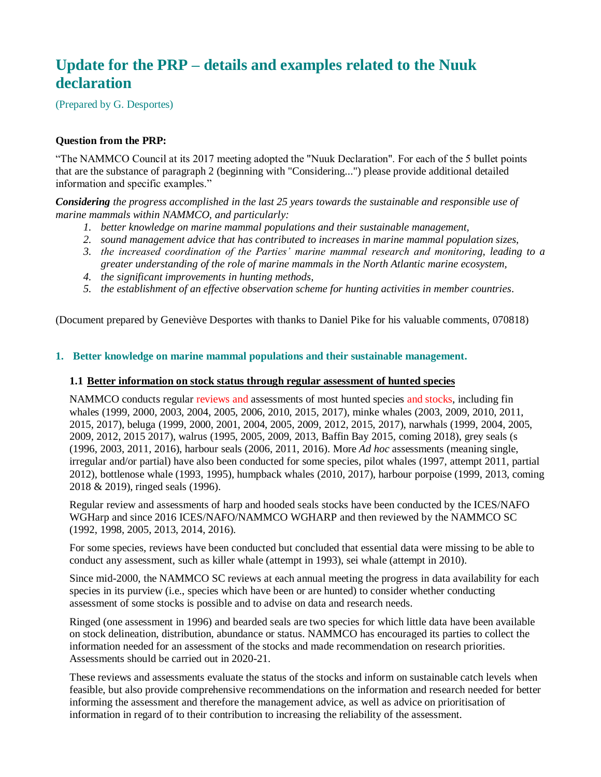# **Update for the PRP – details and examples related to the Nuuk declaration**

(Prepared by G. Desportes)

### **Question from the PRP:**

"The NAMMCO Council at its 2017 meeting adopted the "Nuuk Declaration". For each of the 5 bullet points that are the substance of paragraph 2 (beginning with "Considering...") please provide additional detailed information and specific examples."

*Considering the progress accomplished in the last 25 years towards the sustainable and responsible use of marine mammals within NAMMCO, and particularly:*

- *1. better knowledge on marine mammal populations and their sustainable management,*
- *2. sound management advice that has contributed to increases in marine mammal population sizes,*
- *3. the increased coordination of the Parties' marine mammal research and monitoring, leading to a greater understanding of the role of marine mammals in the North Atlantic marine ecosystem,*
- *4. the significant improvements in hunting methods,*
- *5. the establishment of an effective observation scheme for hunting activities in member countries.*

(Document prepared by Geneviève Desportes with thanks to Daniel Pike for his valuable comments, 070818)

#### **1. Better knowledge on marine mammal populations and their sustainable management.**

#### **1.1 Better information on stock status through regular assessment of hunted species**

NAMMCO conducts regular reviews and assessments of most hunted species and stocks, including fin whales (1999, 2000, 2003, 2004, 2005, 2006, 2010, 2015, 2017), minke whales (2003, 2009, 2010, 2011, 2015, 2017), beluga (1999, 2000, 2001, 2004, 2005, 2009, 2012, 2015, 2017), narwhals (1999, 2004, 2005, 2009, 2012, 2015 2017), walrus (1995, 2005, 2009, 2013, Baffin Bay 2015, coming 2018), grey seals (s (1996, 2003, 2011, 2016), harbour seals (2006, 2011, 2016). More *Ad hoc* assessments (meaning single, irregular and/or partial) have also been conducted for some species, pilot whales (1997, attempt 2011, partial 2012), bottlenose whale (1993, 1995), humpback whales (2010, 2017), harbour porpoise (1999, 2013, coming 2018 & 2019), ringed seals (1996).

Regular review and assessments of harp and hooded seals stocks have been conducted by the ICES/NAFO WGHarp and since 2016 ICES/NAFO/NAMMCO WGHARP and then reviewed by the NAMMCO SC (1992, 1998, 2005, 2013, 2014, 2016).

For some species, reviews have been conducted but concluded that essential data were missing to be able to conduct any assessment, such as killer whale (attempt in 1993), sei whale (attempt in 2010).

Since mid-2000, the NAMMCO SC reviews at each annual meeting the progress in data availability for each species in its purview (i.e., species which have been or are hunted) to consider whether conducting assessment of some stocks is possible and to advise on data and research needs.

Ringed (one assessment in 1996) and bearded seals are two species for which little data have been available on stock delineation, distribution, abundance or status. NAMMCO has encouraged its parties to collect the information needed for an assessment of the stocks and made recommendation on research priorities. Assessments should be carried out in 2020-21.

These reviews and assessments evaluate the status of the stocks and inform on sustainable catch levels when feasible, but also provide comprehensive recommendations on the information and research needed for better informing the assessment and therefore the management advice, as well as advice on prioritisation of information in regard of to their contribution to increasing the reliability of the assessment.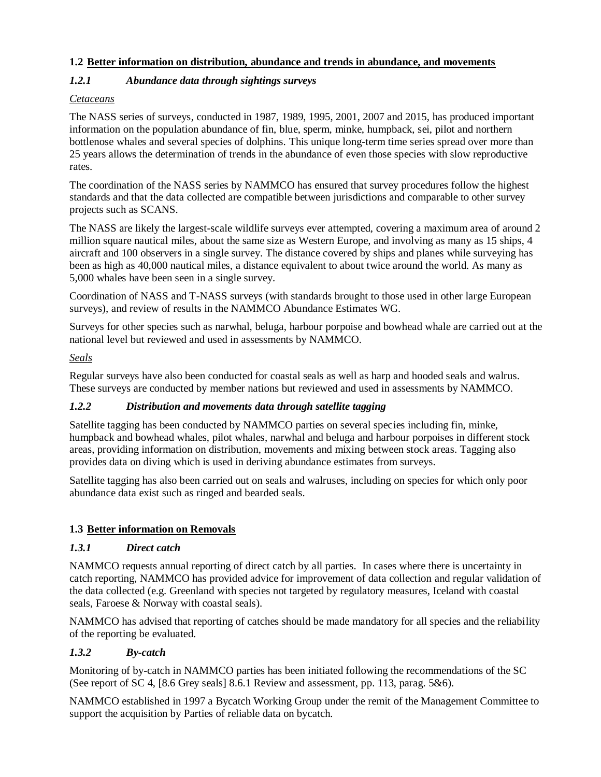### **1.2 Better information on distribution, abundance and trends in abundance, and movements**

### *1.2.1 Abundance data through sightings surveys*

### *Cetaceans*

The NASS series of surveys, conducted in 1987, 1989, 1995, 2001, 2007 and 2015, has produced important information on the population abundance of fin, blue, sperm, minke, humpback, sei, pilot and northern bottlenose whales and several species of dolphins. This unique long-term time series spread over more than 25 years allows the determination of trends in the abundance of even those species with slow reproductive rates.

The coordination of the NASS series by NAMMCO has ensured that survey procedures follow the highest standards and that the data collected are compatible between jurisdictions and comparable to other survey projects such as SCANS.

The NASS are likely the largest-scale wildlife surveys ever attempted, covering a maximum area of around 2 million square nautical miles, about the same size as Western Europe, and involving as many as 15 ships, 4 aircraft and 100 observers in a single survey. The distance covered by ships and planes while surveying has been as high as 40,000 nautical miles, a distance equivalent to about twice around the world. As many as 5,000 whales have been seen in a single survey.

Coordination of NASS and T-NASS surveys (with standards brought to those used in other large European surveys), and review of results in the NAMMCO Abundance Estimates WG.

Surveys for other species such as narwhal, beluga, harbour porpoise and bowhead whale are carried out at the national level but reviewed and used in assessments by NAMMCO.

### *Seals*

Regular surveys have also been conducted for coastal seals as well as harp and hooded seals and walrus. These surveys are conducted by member nations but reviewed and used in assessments by NAMMCO.

### *1.2.2 Distribution and movements data through satellite tagging*

Satellite tagging has been conducted by NAMMCO parties on several species including fin, minke, humpback and bowhead whales, pilot whales, narwhal and beluga and harbour porpoises in different stock areas, providing information on distribution, movements and mixing between stock areas. Tagging also provides data on diving which is used in deriving abundance estimates from surveys.

Satellite tagging has also been carried out on seals and walruses, including on species for which only poor abundance data exist such as ringed and bearded seals.

### **1.3 Better information on Removals**

### *1.3.1 Direct catch*

NAMMCO requests annual reporting of direct catch by all parties. In cases where there is uncertainty in catch reporting, NAMMCO has provided advice for improvement of data collection and regular validation of the data collected (e.g. Greenland with species not targeted by regulatory measures, Iceland with coastal seals, Faroese & Norway with coastal seals).

NAMMCO has advised that reporting of catches should be made mandatory for all species and the reliability of the reporting be evaluated.

### *1.3.2 By-catch*

Monitoring of by-catch in NAMMCO parties has been initiated following the recommendations of the SC (See report of SC 4, [8.6 Grey seals] 8.6.1 Review and assessment, pp. 113, parag. 5&6).

NAMMCO established in 1997 a Bycatch Working Group under the remit of the Management Committee to support the acquisition by Parties of reliable data on bycatch.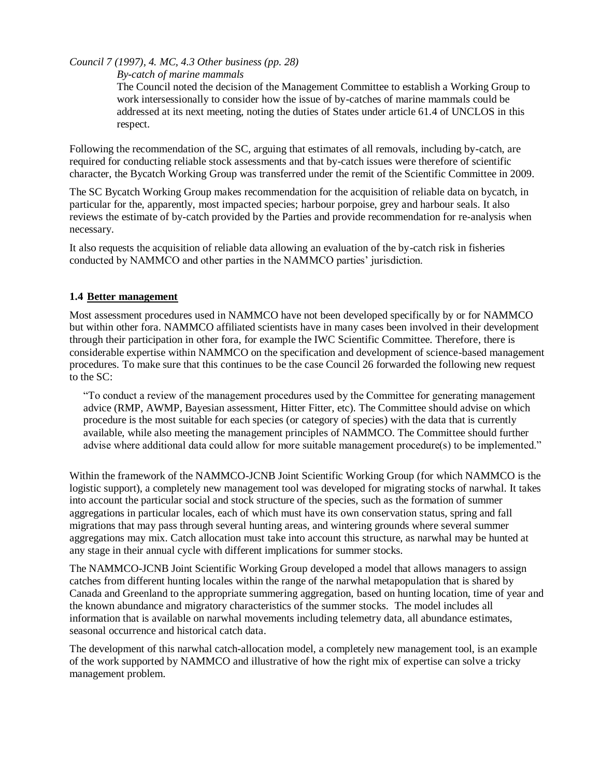*Council 7 (1997), 4. MC, 4.3 Other business (pp. 28)*

*By-catch of marine mammals*

The Council noted the decision of the Management Committee to establish a Working Group to work intersessionally to consider how the issue of by-catches of marine mammals could be addressed at its next meeting, noting the duties of States under article 61.4 of UNCLOS in this respect.

Following the recommendation of the SC, arguing that estimates of all removals, including by-catch, are required for conducting reliable stock assessments and that by-catch issues were therefore of scientific character, the Bycatch Working Group was transferred under the remit of the Scientific Committee in 2009.

The SC Bycatch Working Group makes recommendation for the acquisition of reliable data on bycatch, in particular for the, apparently, most impacted species; harbour porpoise, grey and harbour seals. It also reviews the estimate of by-catch provided by the Parties and provide recommendation for re-analysis when necessary.

It also requests the acquisition of reliable data allowing an evaluation of the by-catch risk in fisheries conducted by NAMMCO and other parties in the NAMMCO parties' jurisdiction.

### **1.4 Better management**

Most assessment procedures used in NAMMCO have not been developed specifically by or for NAMMCO but within other fora. NAMMCO affiliated scientists have in many cases been involved in their development through their participation in other fora, for example the IWC Scientific Committee. Therefore, there is considerable expertise within NAMMCO on the specification and development of science-based management procedures. To make sure that this continues to be the case Council 26 forwarded the following new request to the SC:

"To conduct a review of the management procedures used by the Committee for generating management advice (RMP, AWMP, Bayesian assessment, Hitter Fitter, etc). The Committee should advise on which procedure is the most suitable for each species (or category of species) with the data that is currently available, while also meeting the management principles of NAMMCO. The Committee should further advise where additional data could allow for more suitable management procedure(s) to be implemented."

Within the framework of the NAMMCO-JCNB Joint Scientific Working Group (for which NAMMCO is the logistic support), a completely new management tool was developed for migrating stocks of narwhal. It takes into account the particular social and stock structure of the species, such as the formation of summer aggregations in particular locales, each of which must have its own conservation status, spring and fall migrations that may pass through several hunting areas, and wintering grounds where several summer aggregations may mix. Catch allocation must take into account this structure, as narwhal may be hunted at any stage in their annual cycle with different implications for summer stocks.

The NAMMCO-JCNB Joint Scientific Working Group developed a model that allows managers to assign catches from different hunting locales within the range of the narwhal metapopulation that is shared by Canada and Greenland to the appropriate summering aggregation, based on hunting location, time of year and the known abundance and migratory characteristics of the summer stocks. The model includes all information that is available on narwhal movements including telemetry data, all abundance estimates, seasonal occurrence and historical catch data.

The development of this narwhal catch-allocation model, a completely new management tool, is an example of the work supported by NAMMCO and illustrative of how the right mix of expertise can solve a tricky management problem.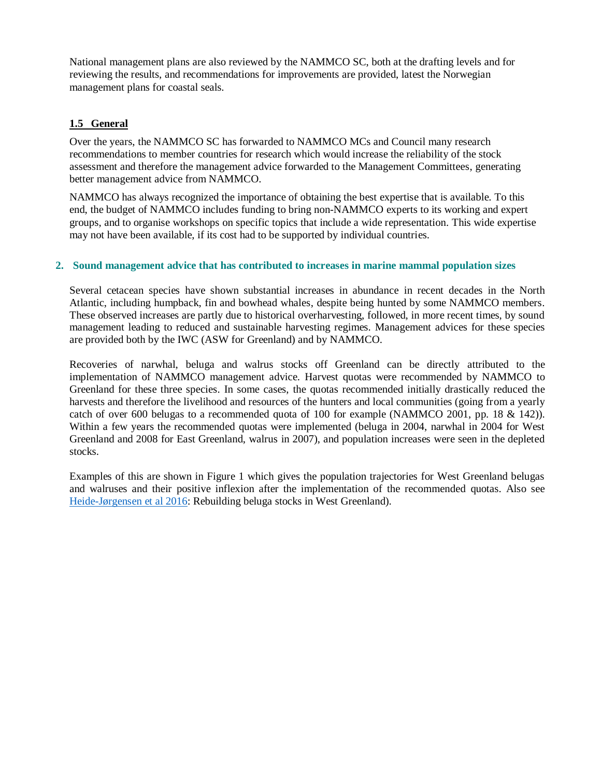National management plans are also reviewed by the NAMMCO SC, both at the drafting levels and for reviewing the results, and recommendations for improvements are provided, latest the Norwegian management plans for coastal seals.

### **1.5 General**

Over the years, the NAMMCO SC has forwarded to NAMMCO MCs and Council many research recommendations to member countries for research which would increase the reliability of the stock assessment and therefore the management advice forwarded to the Management Committees, generating better management advice from NAMMCO.

NAMMCO has always recognized the importance of obtaining the best expertise that is available. To this end, the budget of NAMMCO includes funding to bring non-NAMMCO experts to its working and expert groups, and to organise workshops on specific topics that include a wide representation. This wide expertise may not have been available, if its cost had to be supported by individual countries.

#### **2. Sound management advice that has contributed to increases in marine mammal population sizes**

Several cetacean species have shown substantial increases in abundance in recent decades in the North Atlantic, including humpback, fin and bowhead whales, despite being hunted by some NAMMCO members. These observed increases are partly due to historical overharvesting, followed, in more recent times, by sound management leading to reduced and sustainable harvesting regimes. Management advices for these species are provided both by the IWC (ASW for Greenland) and by NAMMCO.

Recoveries of narwhal, beluga and walrus stocks off Greenland can be directly attributed to the implementation of NAMMCO management advice. Harvest quotas were recommended by NAMMCO to Greenland for these three species. In some cases, the quotas recommended initially drastically reduced the harvests and therefore the livelihood and resources of the hunters and local communities (going from a yearly catch of over 600 belugas to a recommended quota of 100 for example (NAMMCO 2001, pp. 18 & 142)). Within a few years the recommended quotas were implemented (beluga in 2004, narwhal in 2004 for West Greenland and 2008 for East Greenland, walrus in 2007), and population increases were seen in the depleted stocks.

Examples of this are shown in Figure 1 which gives the population trajectories for West Greenland belugas and walruses and their positive inflexion after the implementation of the recommended quotas. Also see [Heide-Jørgensen et al 2016:](https://zslpublications.onlinelibrary.wiley.com/doi/full/10.1111/acv.12315) Rebuilding beluga stocks in West Greenland).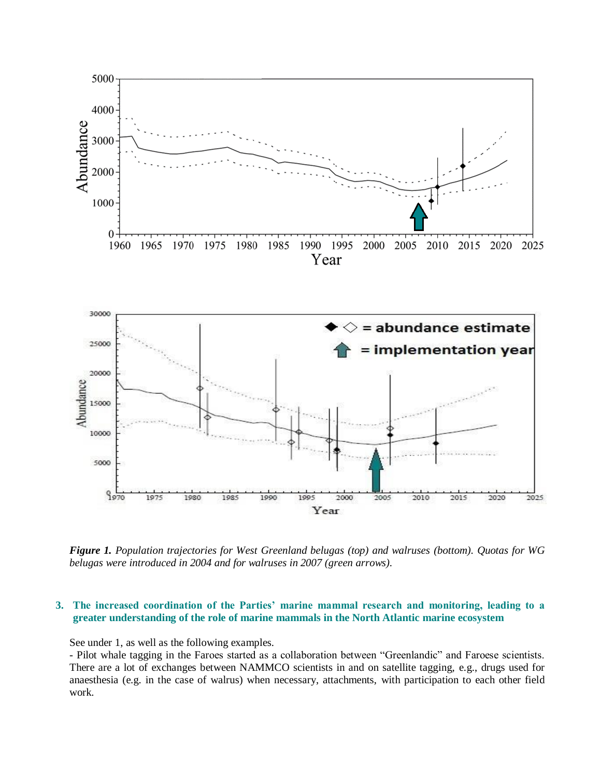

*Figure 1. Population trajectories for West Greenland belugas (top) and walruses (bottom). Quotas for WG belugas were introduced in 2004 and for walruses in 2007 (green arrows).*

#### **3. The increased coordination of the Parties' marine mammal research and monitoring, leading to a greater understanding of the role of marine mammals in the North Atlantic marine ecosystem**

See under 1, as well as the following examples.

- Pilot whale tagging in the Faroes started as a collaboration between "Greenlandic" and Faroese scientists. There are a lot of exchanges between NAMMCO scientists in and on satellite tagging, e.g., drugs used for anaesthesia (e.g. in the case of walrus) when necessary, attachments, with participation to each other field work.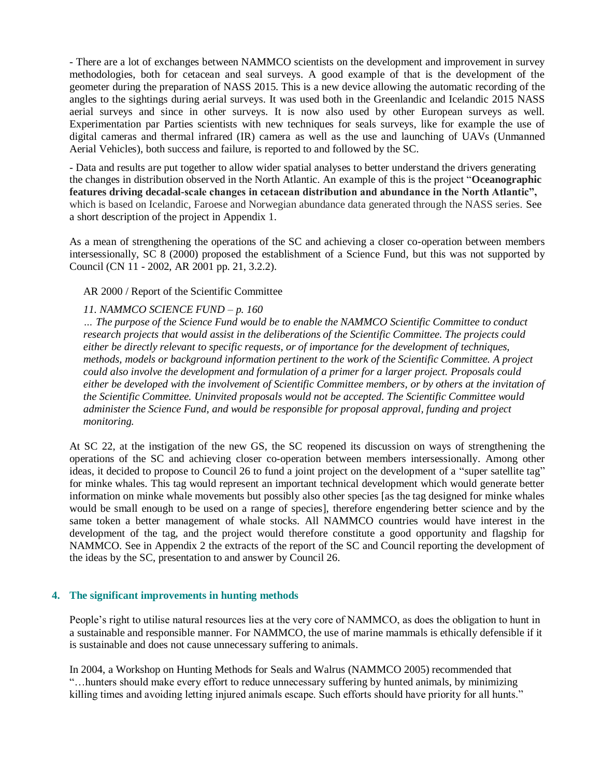- There are a lot of exchanges between NAMMCO scientists on the development and improvement in survey methodologies, both for cetacean and seal surveys. A good example of that is the development of the geometer during the preparation of NASS 2015. This is a new device allowing the automatic recording of the angles to the sightings during aerial surveys. It was used both in the Greenlandic and Icelandic 2015 NASS aerial surveys and since in other surveys. It is now also used by other European surveys as well. Experimentation par Parties scientists with new techniques for seals surveys, like for example the use of digital cameras and thermal infrared (IR) camera as well as the use and launching of UAVs (Unmanned Aerial Vehicles), both success and failure, is reported to and followed by the SC.

- Data and results are put together to allow wider spatial analyses to better understand the drivers generating the changes in distribution observed in the North Atlantic. An example of this is the project "**Oceanographic features driving decadal-scale changes in cetacean distribution and abundance in the North Atlantic",**  which is based on Icelandic, Faroese and Norwegian abundance data generated through the NASS series. See a short description of the project in Appendix 1.

As a mean of strengthening the operations of the SC and achieving a closer co-operation between members intersessionally, SC 8 (2000) proposed the establishment of a Science Fund, but this was not supported by Council (CN 11 - 2002, AR 2001 pp. 21, 3.2.2).

AR 2000 / Report of the Scientific Committee

#### *11. NAMMCO SCIENCE FUND – p. 160*

*… The purpose of the Science Fund would be to enable the NAMMCO Scientific Committee to conduct research projects that would assist in the deliberations of the Scientific Committee. The projects could either be directly relevant to specific requests, or of importance for the development of techniques, methods, models or background information pertinent to the work of the Scientific Committee. A project could also involve the development and formulation of a primer for a larger project. Proposals could either be developed with the involvement of Scientific Committee members, or by others at the invitation of the Scientific Committee. Uninvited proposals would not be accepted. The Scientific Committee would administer the Science Fund, and would be responsible for proposal approval, funding and project monitoring.*

At SC 22, at the instigation of the new GS, the SC reopened its discussion on ways of strengthening the operations of the SC and achieving closer co-operation between members intersessionally. Among other ideas, it decided to propose to Council 26 to fund a joint project on the development of a "super satellite tag" for minke whales. This tag would represent an important technical development which would generate better information on minke whale movements but possibly also other species [as the tag designed for minke whales would be small enough to be used on a range of species], therefore engendering better science and by the same token a better management of whale stocks. All NAMMCO countries would have interest in the development of the tag, and the project would therefore constitute a good opportunity and flagship for NAMMCO. See in Appendix 2 the extracts of the report of the SC and Council reporting the development of the ideas by the SC, presentation to and answer by Council 26.

#### **4. The significant improvements in hunting methods**

People's right to utilise natural resources lies at the very core of NAMMCO, as does the obligation to hunt in a sustainable and responsible manner. For NAMMCO, the use of marine mammals is ethically defensible if it is sustainable and does not cause unnecessary suffering to animals.

In 2004, a Workshop on Hunting Methods for Seals and Walrus (NAMMCO 2005) recommended that "…hunters should make every effort to reduce unnecessary suffering by hunted animals, by minimizing killing times and avoiding letting injured animals escape. Such efforts should have priority for all hunts."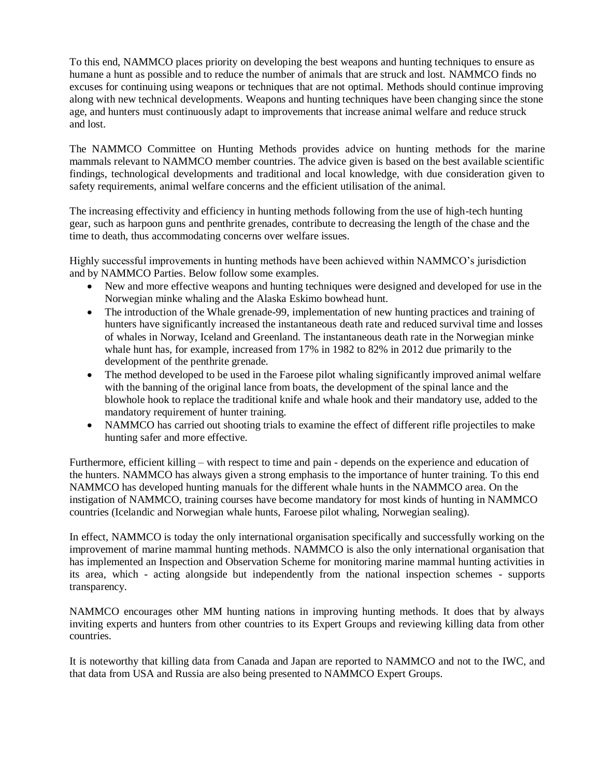To this end, NAMMCO places priority on developing the best weapons and hunting techniques to ensure as humane a hunt as possible and to reduce the number of animals that are struck and lost. NAMMCO finds no excuses for continuing using weapons or techniques that are not optimal. Methods should continue improving along with new technical developments. Weapons and hunting techniques have been changing since the stone age, and hunters must continuously adapt to improvements that increase animal welfare and reduce struck and lost.

The NAMMCO Committee on Hunting Methods provides advice on hunting methods for the marine mammals relevant to NAMMCO member countries. The advice given is based on the best available scientific findings, technological developments and traditional and local knowledge, with due consideration given to safety requirements, animal welfare concerns and the efficient utilisation of the animal.

The increasing effectivity and efficiency in hunting methods following from the use of high-tech hunting gear, such as harpoon guns and penthrite grenades, contribute to decreasing the length of the chase and the time to death, thus accommodating concerns over welfare issues.

Highly successful improvements in hunting methods have been achieved within NAMMCO's jurisdiction and by NAMMCO Parties. Below follow some examples.

- New and more effective weapons and hunting techniques were designed and developed for use in the Norwegian minke whaling and the Alaska Eskimo bowhead hunt.
- The introduction of the Whale grenade-99, implementation of new hunting practices and training of hunters have significantly increased the instantaneous death rate and reduced survival time and losses of whales in Norway, Iceland and Greenland. The instantaneous death rate in the Norwegian minke whale hunt has, for example, increased from 17% in 1982 to 82% in 2012 due primarily to the development of the penthrite grenade.
- The method developed to be used in the Faroese pilot whaling significantly improved animal welfare with the banning of the original lance from boats, the development of the spinal lance and the blowhole hook to replace the traditional knife and whale hook and their mandatory use, added to the mandatory requirement of hunter training.
- NAMMCO has carried out shooting trials to examine the effect of different rifle projectiles to make hunting safer and more effective.

Furthermore, efficient killing – with respect to time and pain - depends on the experience and education of the hunters. NAMMCO has always given a strong emphasis to the importance of hunter training. To this end NAMMCO has developed hunting manuals for the different whale hunts in the NAMMCO area. On the instigation of NAMMCO, training courses have become mandatory for most kinds of hunting in NAMMCO countries (Icelandic and Norwegian whale hunts, Faroese pilot whaling, Norwegian sealing).

In effect, NAMMCO is today the only international organisation specifically and successfully working on the improvement of marine mammal hunting methods. NAMMCO is also the only international organisation that has implemented an Inspection and Observation Scheme for monitoring marine mammal hunting activities in its area, which - acting alongside but independently from the national inspection schemes - supports transparency.

NAMMCO encourages other MM hunting nations in improving hunting methods. It does that by always inviting experts and hunters from other countries to its Expert Groups and reviewing killing data from other countries.

It is noteworthy that killing data from Canada and Japan are reported to NAMMCO and not to the IWC, and that data from USA and Russia are also being presented to NAMMCO Expert Groups.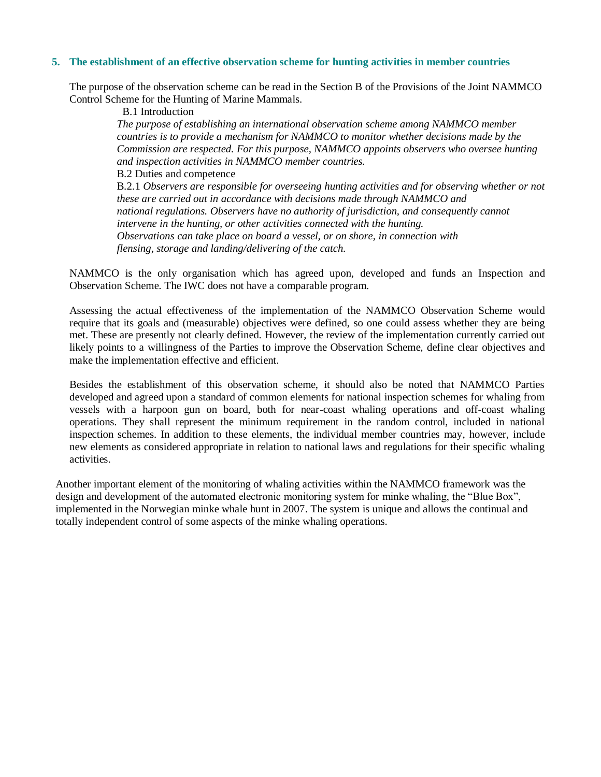#### **5. The establishment of an effective observation scheme for hunting activities in member countries**

The purpose of the observation scheme can be read in the Section B of the Provisions of the Joint NAMMCO Control Scheme for the Hunting of Marine Mammals.

B.1 Introduction

*The purpose of establishing an international observation scheme among NAMMCO member countries is to provide a mechanism for NAMMCO to monitor whether decisions made by the Commission are respected. For this purpose, NAMMCO appoints observers who oversee hunting and inspection activities in NAMMCO member countries.* B.2 Duties and competence B.2.1 *Observers are responsible for overseeing hunting activities and for observing whether or not these are carried out in accordance with decisions made through NAMMCO and national regulations. Observers have no authority of jurisdiction, and consequently cannot intervene in the hunting, or other activities connected with the hunting. Observations can take place on board a vessel, or on shore, in connection with flensing, storage and landing/delivering of the catch.*

NAMMCO is the only organisation which has agreed upon, developed and funds an Inspection and Observation Scheme. The IWC does not have a comparable program.

Assessing the actual effectiveness of the implementation of the NAMMCO Observation Scheme would require that its goals and (measurable) objectives were defined, so one could assess whether they are being met. These are presently not clearly defined. However, the review of the implementation currently carried out likely points to a willingness of the Parties to improve the Observation Scheme, define clear objectives and make the implementation effective and efficient.

Besides the establishment of this observation scheme, it should also be noted that NAMMCO Parties developed and agreed upon a standard of common elements for national inspection schemes for whaling from vessels with a harpoon gun on board, both for near-coast whaling operations and off-coast whaling operations. They shall represent the minimum requirement in the random control, included in national inspection schemes. In addition to these elements, the individual member countries may, however, include new elements as considered appropriate in relation to national laws and regulations for their specific whaling activities.

Another important element of the monitoring of whaling activities within the NAMMCO framework was the design and development of the automated electronic monitoring system for minke whaling, the "Blue Box", implemented in the Norwegian minke whale hunt in 2007. The system is unique and allows the continual and totally independent control of some aspects of the minke whaling operations.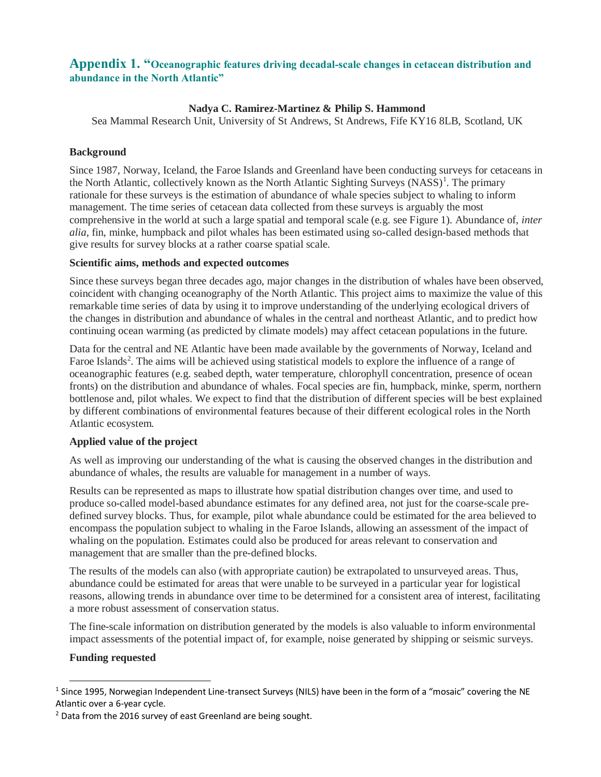### **Appendix 1. "Oceanographic features driving decadal-scale changes in cetacean distribution and abundance in the North Atlantic"**

### **Nadya C. Ramirez-Martinez & Philip S. Hammond**

Sea Mammal Research Unit, University of St Andrews, St Andrews, Fife KY16 8LB, Scotland, UK

#### **Background**

Since 1987, Norway, Iceland, the Faroe Islands and Greenland have been conducting surveys for cetaceans in the North Atlantic, collectively known as the North Atlantic Sighting Surveys (NASS)<sup>1</sup>. The primary rationale for these surveys is the estimation of abundance of whale species subject to whaling to inform management. The time series of cetacean data collected from these surveys is arguably the most comprehensive in the world at such a large spatial and temporal scale (e.g. see Figure 1). Abundance of, *inter alia*, fin, minke, humpback and pilot whales has been estimated using so-called design-based methods that give results for survey blocks at a rather coarse spatial scale.

#### **Scientific aims, methods and expected outcomes**

Since these surveys began three decades ago, major changes in the distribution of whales have been observed, coincident with changing oceanography of the North Atlantic. This project aims to maximize the value of this remarkable time series of data by using it to improve understanding of the underlying ecological drivers of the changes in distribution and abundance of whales in the central and northeast Atlantic, and to predict how continuing ocean warming (as predicted by climate models) may affect cetacean populations in the future.

Data for the central and NE Atlantic have been made available by the governments of Norway, Iceland and Faroe Islands<sup>2</sup>. The aims will be achieved using statistical models to explore the influence of a range of oceanographic features (e.g. seabed depth, water temperature, chlorophyll concentration, presence of ocean fronts) on the distribution and abundance of whales. Focal species are fin, humpback, minke, sperm, northern bottlenose and, pilot whales. We expect to find that the distribution of different species will be best explained by different combinations of environmental features because of their different ecological roles in the North Atlantic ecosystem.

### **Applied value of the project**

As well as improving our understanding of the what is causing the observed changes in the distribution and abundance of whales, the results are valuable for management in a number of ways.

Results can be represented as maps to illustrate how spatial distribution changes over time, and used to produce so-called model-based abundance estimates for any defined area, not just for the coarse-scale predefined survey blocks. Thus, for example, pilot whale abundance could be estimated for the area believed to encompass the population subject to whaling in the Faroe Islands, allowing an assessment of the impact of whaling on the population. Estimates could also be produced for areas relevant to conservation and management that are smaller than the pre-defined blocks.

The results of the models can also (with appropriate caution) be extrapolated to unsurveyed areas. Thus, abundance could be estimated for areas that were unable to be surveyed in a particular year for logistical reasons, allowing trends in abundance over time to be determined for a consistent area of interest, facilitating a more robust assessment of conservation status.

The fine-scale information on distribution generated by the models is also valuable to inform environmental impact assessments of the potential impact of, for example, noise generated by shipping or seismic surveys.

#### **Funding requested**

<sup>&</sup>lt;sup>1</sup> Since 1995, Norwegian Independent Line-transect Surveys (NILS) have been in the form of a "mosaic" covering the NE Atlantic over a 6-year cycle.

<sup>&</sup>lt;sup>2</sup> Data from the 2016 survey of east Greenland are being sought.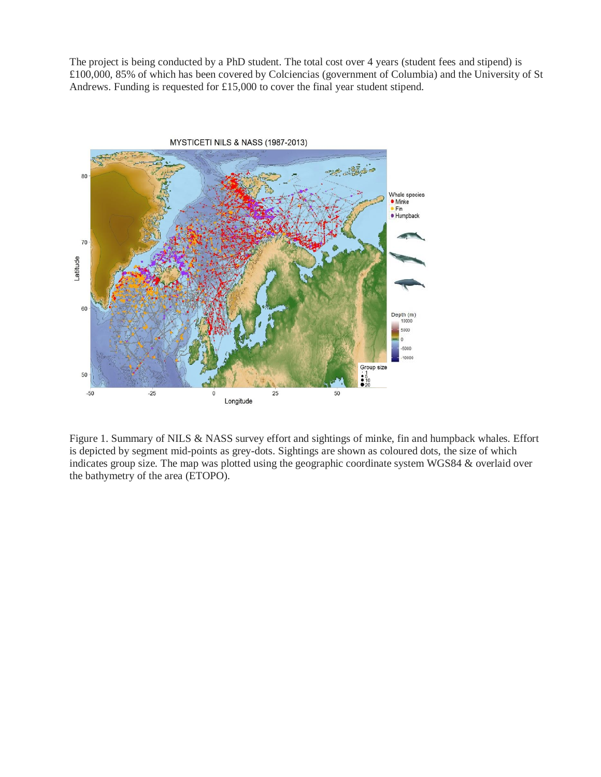The project is being conducted by a PhD student. The total cost over 4 years (student fees and stipend) is £100,000, 85% of which has been covered by Colciencias (government of Columbia) and the University of St Andrews. Funding is requested for £15,000 to cover the final year student stipend.



Figure 1. Summary of NILS & NASS survey effort and sightings of minke, fin and humpback whales. Effort is depicted by segment mid-points as grey-dots. Sightings are shown as coloured dots, the size of which indicates group size. The map was plotted using the geographic coordinate system WGS84 & overlaid over the bathymetry of the area (ETOPO).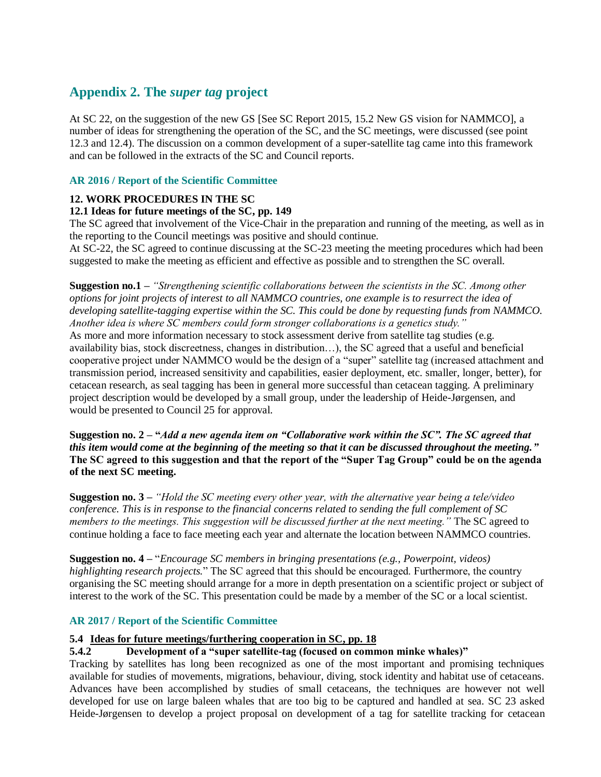## **Appendix 2. The** *super tag* **project**

At SC 22, on the suggestion of the new GS [See SC Report 2015, 15.2 New GS vision for NAMMCO], a number of ideas for strengthening the operation of the SC, and the SC meetings, were discussed (see point 12.3 and 12.4). The discussion on a common development of a super-satellite tag came into this framework and can be followed in the extracts of the SC and Council reports.

### **AR 2016 / Report of the Scientific Committee**

### **12. WORK PROCEDURES IN THE SC**

### **12.1 Ideas for future meetings of the SC, pp. 149**

The SC agreed that involvement of the Vice-Chair in the preparation and running of the meeting, as well as in the reporting to the Council meetings was positive and should continue.

At SC-22, the SC agreed to continue discussing at the SC-23 meeting the meeting procedures which had been suggested to make the meeting as efficient and effective as possible and to strengthen the SC overall.

**Suggestion no.1 –** *"Strengthening scientific collaborations between the scientists in the SC. Among other options for joint projects of interest to all NAMMCO countries, one example is to resurrect the idea of developing satellite-tagging expertise within the SC. This could be done by requesting funds from NAMMCO. Another idea is where SC members could form stronger collaborations is a genetics study."*  As more and more information necessary to stock assessment derive from satellite tag studies (e.g. availability bias, stock discreetness, changes in distribution…), the SC agreed that a useful and beneficial cooperative project under NAMMCO would be the design of a "super" satellite tag (increased attachment and transmission period, increased sensitivity and capabilities, easier deployment, etc. smaller, longer, better), for cetacean research, as seal tagging has been in general more successful than cetacean tagging. A preliminary project description would be developed by a small group, under the leadership of Heide-Jørgensen, and would be presented to Council 25 for approval.

**Suggestion no. 2 – "***Add a new agenda item on "Collaborative work within the SC". The SC agreed that this item would come at the beginning of the meeting so that it can be discussed throughout the meeting."*  **The SC agreed to this suggestion and that the report of the "Super Tag Group" could be on the agenda of the next SC meeting.** 

**Suggestion no. 3 –** *"Hold the SC meeting every other year, with the alternative year being a tele/video conference. This is in response to the financial concerns related to sending the full complement of SC members to the meetings. This suggestion will be discussed further at the next meeting."* The SC agreed to continue holding a face to face meeting each year and alternate the location between NAMMCO countries.

**Suggestion no. 4 –** "*Encourage SC members in bringing presentations (e.g., Powerpoint, videos) highlighting research projects.*" The SC agreed that this should be encouraged. Furthermore, the country organising the SC meeting should arrange for a more in depth presentation on a scientific project or subject of interest to the work of the SC. This presentation could be made by a member of the SC or a local scientist.

### **AR 2017 / Report of the Scientific Committee**

#### **5.4 Ideas for future meetings/furthering cooperation in SC, pp. 18**

#### **5.4.2 Development of a "super satellite-tag (focused on common minke whales)"**

Tracking by satellites has long been recognized as one of the most important and promising techniques available for studies of movements, migrations, behaviour, diving, stock identity and habitat use of cetaceans. Advances have been accomplished by studies of small cetaceans, the techniques are however not well developed for use on large baleen whales that are too big to be captured and handled at sea. SC 23 asked Heide-Jørgensen to develop a project proposal on development of a tag for satellite tracking for cetacean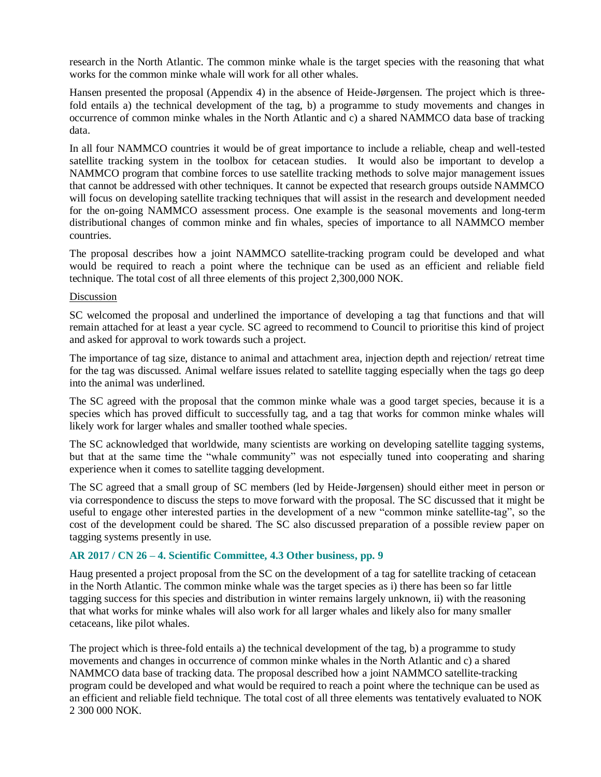research in the North Atlantic. The common minke whale is the target species with the reasoning that what works for the common minke whale will work for all other whales.

Hansen presented the proposal (Appendix 4) in the absence of Heide-Jørgensen. The project which is threefold entails a) the technical development of the tag, b) a programme to study movements and changes in occurrence of common minke whales in the North Atlantic and c) a shared NAMMCO data base of tracking data.

In all four NAMMCO countries it would be of great importance to include a reliable, cheap and well-tested satellite tracking system in the toolbox for cetacean studies. It would also be important to develop a NAMMCO program that combine forces to use satellite tracking methods to solve major management issues that cannot be addressed with other techniques. It cannot be expected that research groups outside NAMMCO will focus on developing satellite tracking techniques that will assist in the research and development needed for the on-going NAMMCO assessment process. One example is the seasonal movements and long-term distributional changes of common minke and fin whales, species of importance to all NAMMCO member countries.

The proposal describes how a joint NAMMCO satellite-tracking program could be developed and what would be required to reach a point where the technique can be used as an efficient and reliable field technique. The total cost of all three elements of this project 2,300,000 NOK.

#### Discussion

SC welcomed the proposal and underlined the importance of developing a tag that functions and that will remain attached for at least a year cycle. SC agreed to recommend to Council to prioritise this kind of project and asked for approval to work towards such a project.

The importance of tag size, distance to animal and attachment area, injection depth and rejection/ retreat time for the tag was discussed. Animal welfare issues related to satellite tagging especially when the tags go deep into the animal was underlined.

The SC agreed with the proposal that the common minke whale was a good target species, because it is a species which has proved difficult to successfully tag, and a tag that works for common minke whales will likely work for larger whales and smaller toothed whale species.

The SC acknowledged that worldwide, many scientists are working on developing satellite tagging systems, but that at the same time the "whale community" was not especially tuned into cooperating and sharing experience when it comes to satellite tagging development.

The SC agreed that a small group of SC members (led by Heide-Jørgensen) should either meet in person or via correspondence to discuss the steps to move forward with the proposal. The SC discussed that it might be useful to engage other interested parties in the development of a new "common minke satellite-tag", so the cost of the development could be shared. The SC also discussed preparation of a possible review paper on tagging systems presently in use.

#### **AR 2017 / CN 26 – 4. Scientific Committee, 4.3 Other business, pp. 9**

Haug presented a project proposal from the SC on the development of a tag for satellite tracking of cetacean in the North Atlantic. The common minke whale was the target species as i) there has been so far little tagging success for this species and distribution in winter remains largely unknown, ii) with the reasoning that what works for minke whales will also work for all larger whales and likely also for many smaller cetaceans, like pilot whales.

The project which is three-fold entails a) the technical development of the tag, b) a programme to study movements and changes in occurrence of common minke whales in the North Atlantic and c) a shared NAMMCO data base of tracking data. The proposal described how a joint NAMMCO satellite-tracking program could be developed and what would be required to reach a point where the technique can be used as an efficient and reliable field technique. The total cost of all three elements was tentatively evaluated to NOK 2 300 000 NOK.